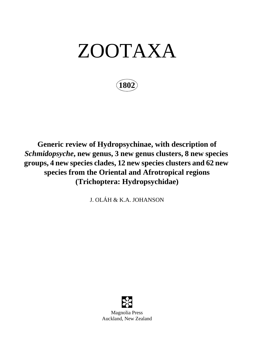# ZOOTAXA

**1802**

**Generic review of Hydropsychinae, with description of**  *Schmidopsyche***, new genus, 3 new genus clusters, 8 new species groups, 4 new species clades, 12 new species clusters and 62 new species from the Oriental and Afrotropical regions (Trichoptera: Hydropsychidae)**

J. OLÁH & K.A. JOHANSON

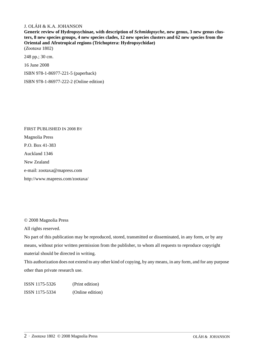## J. OLÁH & K.A. JOHANSON

Generic review of Hydropsychinae, with description of *Schmidopsyche*, new genus, 3 new genus clus**ters, 8 new species groups, 4 new species clades, 12 new species clusters and 62 new species from the Oriental and Afrotropical regions (Trichoptera: Hydropsychidae)** (*Zootaxa* 1802)

248 pp.; 30 cm.

16 June 2008

ISBN 978-1-86977-221-5 (paperback)

ISBN 978-1-86977-222-2 (Online edition)

FIRST PUBLISHED IN 2008 BY Magnolia Press P.O. Box 41-383 Auckland 1346 New Zealand e-mail: zootaxa@mapress.com http://www.mapress.com/zootaxa/

© 2008 Magnolia Press

All rights reserved.

No part of this publication may be reproduced, stored, transmitted or disseminated, in any form, or by any means, without prior written permission from the publisher, to whom all requests to reproduce copyright material should be directed in writing.

This authorization does not extend to any other kind of copying, by any means, in any form, and for any purpose other than private research use.

ISSN 1175-5326 (Print edition) ISSN 1175-5334 (Online edition)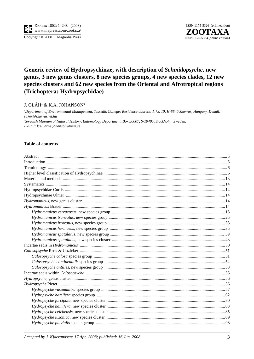Copyright © 2008 · Magnolia Press



# Generic review of Hydropsychinae, with description of Schmidopsyche, new genus, 3 new genus clusters, 8 new species groups, 4 new species clades, 12 new species clusters and 62 new species from the Oriental and Afrotropical regions (Trichoptera: Hydropsychidae)

### J. OLÁH<sup>1</sup> & K.A. JOHANSON<sup>2</sup>

<sup>1</sup>Department of Environmental Management, Tessedik College; Residence address: I. kk. 10, H-5540 Szarvas, Hungary. E-mail: saker@szarvasnet.hu <sup>2</sup>Swedish Museum of Natural History, Entomology Department, Box 50007, S-10405, Stockholm, Sweden. E-mail: kjell.arne.johanson@nrm.se

#### **Table of contents**

Accepted by J. Kjaerandsen: 17 Apr. 2008; published: 16 Jun. 2008